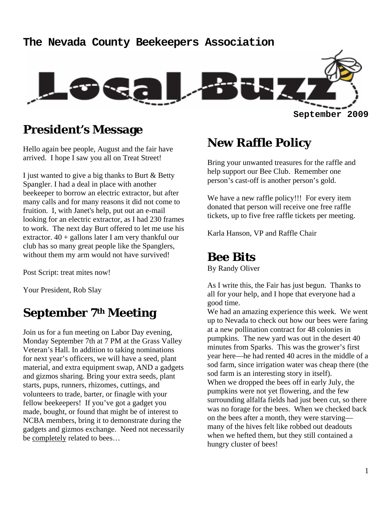# **The Nevada County Beekeepers Association September 2009**

## **President's Message**

Hello again bee people, August and the fair have arrived. I hope I saw you all on Treat Street!

I just wanted to give a big thanks to Burt & Betty Spangler. I had a deal in place with another beekeeper to borrow an electric extractor, but after many calls and for many reasons it did not come to fruition. I, with Janet's help, put out an e-mail looking for an electric extractor, as I had 230 frames to work. The next day Burt offered to let me use his extractor.  $40 +$  gallons later I am very thankful our club has so many great people like the Spanglers, without them my arm would not have survived!

Post Script: treat mites now!

Your President, Rob Slay

# **September 7th Meeting**

Join us for a fun meeting on Labor Day evening, Monday September 7th at 7 PM at the Grass Valley Veteran's Hall. In addition to taking nominations for next year's officers, we will have a seed, plant material, and extra equipment swap, AND a gadgets and gizmos sharing. Bring your extra seeds, plant starts, pups, runners, rhizomes, cuttings, and volunteers to trade, barter, or finagle with your fellow beekeepers! If you've got a gadget you made, bought, or found that might be of interest to NCBA members, bring it to demonstrate during the gadgets and gizmos exchange. Need not necessarily be completely related to bees…

# **New Raffle Policy**

Bring your unwanted treasures for the raffle and help support our Bee Club. Remember one person's cast-off is another person's gold.

We have a new raffle policy!!! For every item donated that person will receive one free raffle tickets, up to five free raffle tickets per meeting.

Karla Hanson, VP and Raffle Chair

#### **Bee Bits**

By Randy Oliver

As I write this, the Fair has just begun. Thanks to all for your help, and I hope that everyone had a good time.

We had an amazing experience this week. We went up to Nevada to check out how our bees were faring at a new pollination contract for 48 colonies in pumpkins. The new yard was out in the desert 40 minutes from Sparks. This was the grower's first year here—he had rented 40 acres in the middle of a sod farm, since irrigation water was cheap there (the sod farm is an interesting story in itself). When we dropped the bees off in early July, the pumpkins were not yet flowering, and the few surrounding alfalfa fields had just been cut, so there was no forage for the bees. When we checked back on the bees after a month, they were starving many of the hives felt like robbed out deadouts when we hefted them, but they still contained a hungry cluster of bees!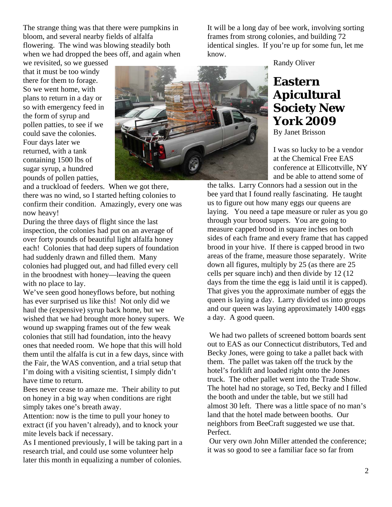The strange thing was that there were pumpkins in bloom, and several nearby fields of alfalfa flowering. The wind was blowing steadily both when we had dropped the bees off, and again when

we revisited, so we guessed that it must be too windy there for them to forage. So we went home, with plans to return in a day or so with emergency feed in the form of syrup and pollen patties, to see if we could save the colonies. Four days later we returned, with a tank containing 1500 lbs of sugar syrup, a hundred pounds of pollen patties,



and a truckload of feeders. When we got there, there was no wind, so I started hefting colonies to confirm their condition. Amazingly, every one was now heavy!

During the three days of flight since the last inspection, the colonies had put on an average of over forty pounds of beautiful light alfalfa honey each! Colonies that had deep supers of foundation had suddenly drawn and filled them. Many colonies had plugged out, and had filled every cell in the broodnest with honey—leaving the queen with no place to lay.

We've seen good honeyflows before, but nothing has ever surprised us like this! Not only did we haul the (expensive) syrup back home, but we wished that we had brought more honey supers. We wound up swapping frames out of the few weak colonies that still had foundation, into the heavy ones that needed room. We hope that this will hold them until the alfalfa is cut in a few days, since with the Fair, the WAS convention, and a trial setup that I'm doing with a visiting scientist, I simply didn't have time to return.

Bees never cease to amaze me. Their ability to put on honey in a big way when conditions are right simply takes one's breath away.

Attention: now is the time to pull your honey to extract (if you haven't already), and to knock your mite levels back if necessary.

As I mentioned previously, I will be taking part in a research trial, and could use some volunteer help later this month in equalizing a number of colonies.

It will be a long day of bee work, involving sorting frames from strong colonies, and building 72 identical singles. If you're up for some fun, let me know.

Randy Oliver

# **Eastern Apicultural Society New York 2009**

By Janet Brisson

I was so lucky to be a vendor at the Chemical Free EAS conference at Ellicottville, NY and be able to attend some of

the talks. Larry Connors had a session out in the bee yard that I found really fascinating. He taught us to figure out how many eggs our queens are laying. You need a tape measure or ruler as you go through your brood supers. You are going to measure capped brood in square inches on both sides of each frame and every frame that has capped brood in your hive. If there is capped brood in two areas of the frame, measure those separately. Write down all figures, multiply by 25 (as there are 25 cells per square inch) and then divide by 12 (12 days from the time the egg is laid until it is capped). That gives you the approximate number of eggs the queen is laying a day. Larry divided us into groups and our queen was laying approximately 1400 eggs a day. A good queen.

 We had two pallets of screened bottom boards sent out to EAS as our Connecticut distributors, Ted and Becky Jones, were going to take a pallet back with them. The pallet was taken off the truck by the hotel's forklift and loaded right onto the Jones truck. The other pallet went into the Trade Show. The hotel had no storage, so Ted, Becky and I filled the booth and under the table, but we still had almost 30 left. There was a little space of no man's land that the hotel made between booths. Our neighbors from BeeCraft suggested we use that. Perfect.

 Our very own John Miller attended the conference; it was so good to see a familiar face so far from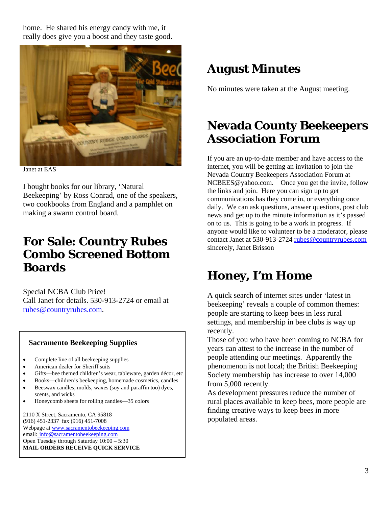home. He shared his energy candy with me, it really does give you a boost and they taste good.



Janet at EAS

I bought books for our library, 'Natural Beekeeping' by Ross Conrad, one of the speakers, two cookbooks from England and a pamphlet on making a swarm control board.

## **For Sale: Country Rubes Combo Screened Bottom Boards**

Special NCBA Club Price! Call Janet for details. 530-913-2724 or email at rubes@countryrubes.com.

#### **Sacramento Beekeeping Supplies**

- Complete line of all beekeeping supplies
- American dealer for Sheriff suits
- Gifts-bee themed children's wear, tableware, garden décor, etc
- Books—children's beekeeping, homemade cosmetics, candles
- Beeswax candles, molds, waxes (soy and paraffin too) dyes, scents, and wicks
- Honeycomb sheets for rolling candles—35 colors

2110 X Street, Sacramento, CA 95818 (916) 451-2337 fax (916) 451-7008 Webpage at www.sacramentobeekeeping.com email: info@sacramentobeekeeping.com Open Tuesday through Saturday 10:00 – 5:30 **MAIL ORDERS RECEIVE QUICK SERVICE** 

# **August Minutes**

No minutes were taken at the August meeting.

# **Nevada County Beekeepers Association Forum**

If you are an up-to-date member and have access to the internet, you will be getting an invitation to join the Nevada Country Beekeepers Association Forum at NCBEES@yahoo.com. Once you get the invite, follow the links and join. Here you can sign up to get communications has they come in, or everything once daily. We can ask questions, answer questions, post club news and get up to the minute information as it's passed on to us. This is going to be a work in progress. If anyone would like to volunteer to be a moderator, please contact Janet at 530-913-2724 rubes@countryrubes.com sincerely, Janet Brisson

# **Honey, I'm Home**

A quick search of internet sites under 'latest in beekeeping' reveals a couple of common themes: people are starting to keep bees in less rural settings, and membership in bee clubs is way up recently.

Those of you who have been coming to NCBA for years can attest to the increase in the number of people attending our meetings. Apparently the phenomenon is not local; the British Beekeeping Society membership has increase to over 14,000 from 5,000 recently.

As development pressures reduce the number of rural places available to keep bees, more people are finding creative ways to keep bees in more populated areas.